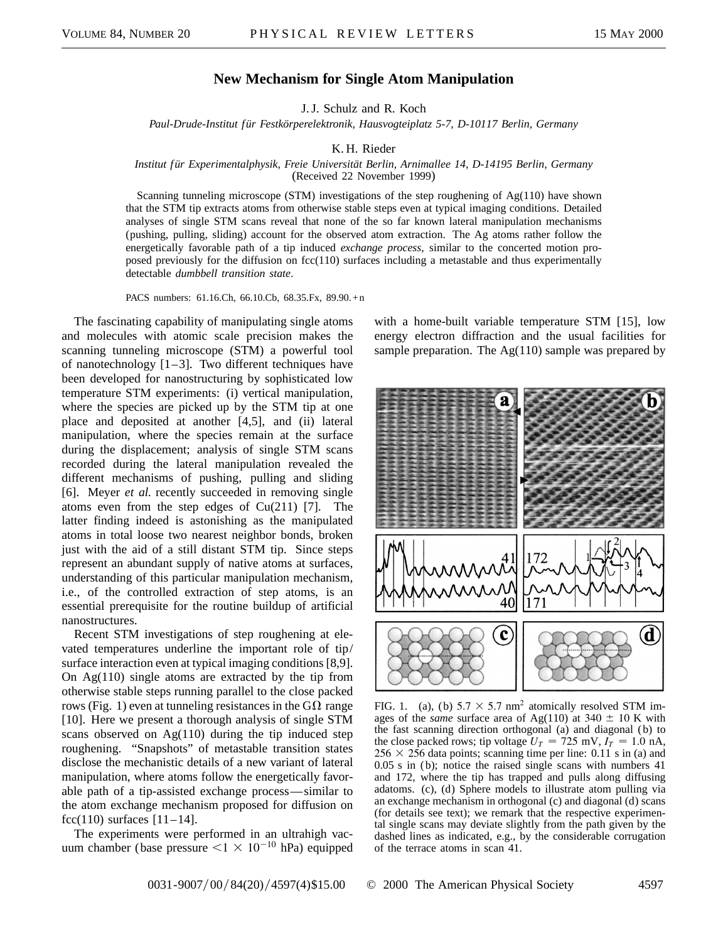## **New Mechanism for Single Atom Manipulation**

J. J. Schulz and R. Koch

*Paul-Drude-Institut für Festkörperelektronik, Hausvogteiplatz 5-7, D-10117 Berlin, Germany*

## K. H. Rieder

## *Institut für Experimentalphysik, Freie Universität Berlin, Arnimallee 14, D-14195 Berlin, Germany*

(Received 22 November 1999)

Scanning tunneling microscope (STM) investigations of the step roughening of Ag(110) have shown that the STM tip extracts atoms from otherwise stable steps even at typical imaging conditions. Detailed analyses of single STM scans reveal that none of the so far known lateral manipulation mechanisms (pushing, pulling, sliding) account for the observed atom extraction. The Ag atoms rather follow the energetically favorable path of a tip induced *exchange process,* similar to the concerted motion proposed previously for the diffusion on fcc(110) surfaces including a metastable and thus experimentally detectable *dumbbell transition state*.

PACS numbers: 61.16.Ch, 66.10.Cb, 68.35.Fx, 89.90.+n

The fascinating capability of manipulating single atoms and molecules with atomic scale precision makes the scanning tunneling microscope (STM) a powerful tool of nanotechnology  $[1-3]$ . Two different techniques have been developed for nanostructuring by sophisticated low temperature STM experiments: (i) vertical manipulation, where the species are picked up by the STM tip at one place and deposited at another [4,5], and (ii) lateral manipulation, where the species remain at the surface during the displacement; analysis of single STM scans recorded during the lateral manipulation revealed the different mechanisms of pushing, pulling and sliding [6]. Meyer *et al.* recently succeeded in removing single atoms even from the step edges of  $Cu(211)$  [7]. The latter finding indeed is astonishing as the manipulated atoms in total loose two nearest neighbor bonds, broken just with the aid of a still distant STM tip. Since steps represent an abundant supply of native atoms at surfaces, understanding of this particular manipulation mechanism, i.e., of the controlled extraction of step atoms, is an essential prerequisite for the routine buildup of artificial nanostructures.

Recent STM investigations of step roughening at elevated temperatures underline the important role of tip/ surface interaction even at typical imaging conditions [8,9]. On  $Ag(110)$  single atoms are extracted by the tip from otherwise stable steps running parallel to the close packed rows (Fig. 1) even at tunneling resistances in the  $G\Omega$  range [10]. Here we present a thorough analysis of single STM scans observed on Ag(110) during the tip induced step roughening. "Snapshots" of metastable transition states disclose the mechanistic details of a new variant of lateral manipulation, where atoms follow the energetically favorable path of a tip-assisted exchange process—similar to the atom exchange mechanism proposed for diffusion on fcc(110) surfaces  $[11-14]$ .

The experiments were performed in an ultrahigh vacuum chamber (base pressure  $\leq$ 1  $\times$  10<sup>-10</sup> hPa) equipped with a home-built variable temperature STM [15], low energy electron diffraction and the usual facilities for sample preparation. The  $Ag(110)$  sample was prepared by



FIG. 1. (a), (b)  $5.7 \times 5.7$  nm<sup>2</sup> atomically resolved STM images of the *same* surface area of Ag(110) at 340  $\pm$  10 K with the fast scanning direction orthogonal (a) and diagonal (b) to the close packed rows; tip voltage  $U_T = 725$  mV,  $I_T = 1.0$  nA,  $256 \times 256$  data points; scanning time per line: 0.11 s in (a) and 0.05 s in (b); notice the raised single scans with numbers 41 and 172, where the tip has trapped and pulls along diffusing adatoms. (c), (d) Sphere models to illustrate atom pulling via an exchange mechanism in orthogonal (c) and diagonal (d) scans (for details see text); we remark that the respective experimental single scans may deviate slightly from the path given by the dashed lines as indicated, e.g., by the considerable corrugation of the terrace atoms in scan 41.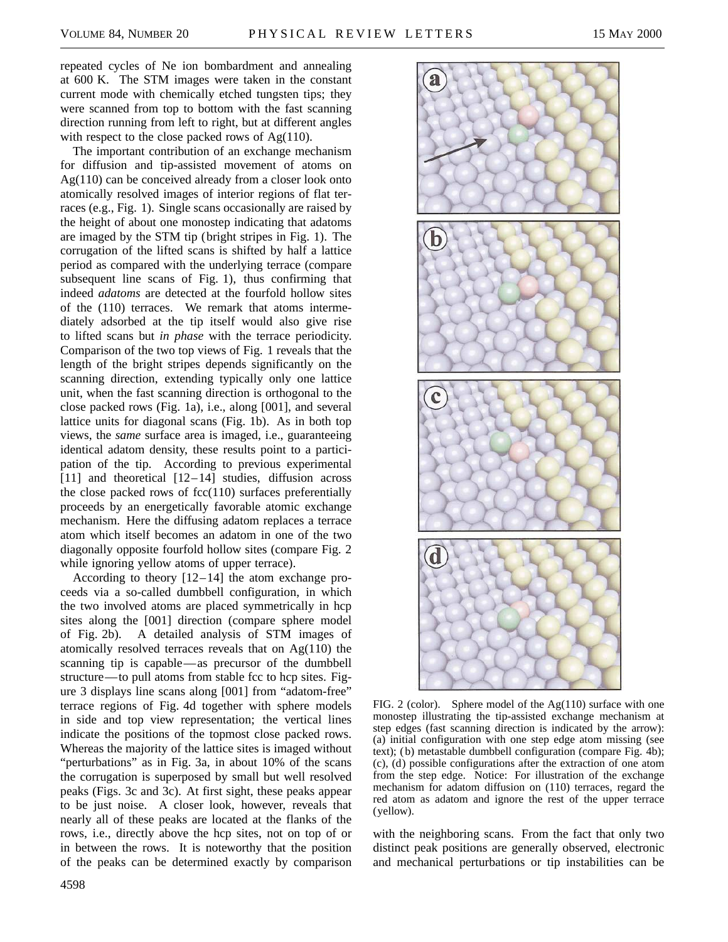repeated cycles of Ne ion bombardment and annealing at 600 K. The STM images were taken in the constant current mode with chemically etched tungsten tips; they were scanned from top to bottom with the fast scanning direction running from left to right, but at different angles with respect to the close packed rows of Ag(110).

The important contribution of an exchange mechanism for diffusion and tip-assisted movement of atoms on Ag(110) can be conceived already from a closer look onto atomically resolved images of interior regions of flat terraces (e.g., Fig. 1). Single scans occasionally are raised by the height of about one monostep indicating that adatoms are imaged by the STM tip (bright stripes in Fig. 1). The corrugation of the lifted scans is shifted by half a lattice period as compared with the underlying terrace (compare subsequent line scans of Fig. 1), thus confirming that indeed *adatoms* are detected at the fourfold hollow sites of the (110) terraces. We remark that atoms intermediately adsorbed at the tip itself would also give rise to lifted scans but *in phase* with the terrace periodicity. Comparison of the two top views of Fig. 1 reveals that the length of the bright stripes depends significantly on the scanning direction, extending typically only one lattice unit, when the fast scanning direction is orthogonal to the close packed rows (Fig. 1a), i.e., along [001], and several lattice units for diagonal scans (Fig. 1b). As in both top views, the *same* surface area is imaged, i.e., guaranteeing identical adatom density, these results point to a participation of the tip. According to previous experimental [11] and theoretical  $[12-14]$  studies, diffusion across the close packed rows of  $fcc(110)$  surfaces preferentially proceeds by an energetically favorable atomic exchange mechanism. Here the diffusing adatom replaces a terrace atom which itself becomes an adatom in one of the two diagonally opposite fourfold hollow sites (compare Fig. 2 while ignoring yellow atoms of upper terrace).

According to theory [12–14] the atom exchange proceeds via a so-called dumbbell configuration, in which the two involved atoms are placed symmetrically in hcp sites along the [001] direction (compare sphere model of Fig. 2b). A detailed analysis of STM images of atomically resolved terraces reveals that on Ag(110) the scanning tip is capable—as precursor of the dumbbell structure—to pull atoms from stable fcc to hcp sites. Figure 3 displays line scans along [001] from "adatom-free" terrace regions of Fig. 4d together with sphere models in side and top view representation; the vertical lines indicate the positions of the topmost close packed rows. Whereas the majority of the lattice sites is imaged without "perturbations" as in Fig. 3a, in about 10% of the scans the corrugation is superposed by small but well resolved peaks (Figs. 3c and 3c). At first sight, these peaks appear to be just noise. A closer look, however, reveals that nearly all of these peaks are located at the flanks of the rows, i.e., directly above the hcp sites, not on top of or in between the rows. It is noteworthy that the position of the peaks can be determined exactly by comparison



FIG. 2 (color). Sphere model of the Ag(110) surface with one monostep illustrating the tip-assisted exchange mechanism at step edges (fast scanning direction is indicated by the arrow): (a) initial configuration with one step edge atom missing (see text); (b) metastable dumbbell configuration (compare Fig. 4b); (c), (d) possible configurations after the extraction of one atom from the step edge. Notice: For illustration of the exchange mechanism for adatom diffusion on (110) terraces, regard the red atom as adatom and ignore the rest of the upper terrace (yellow).

with the neighboring scans. From the fact that only two distinct peak positions are generally observed, electronic and mechanical perturbations or tip instabilities can be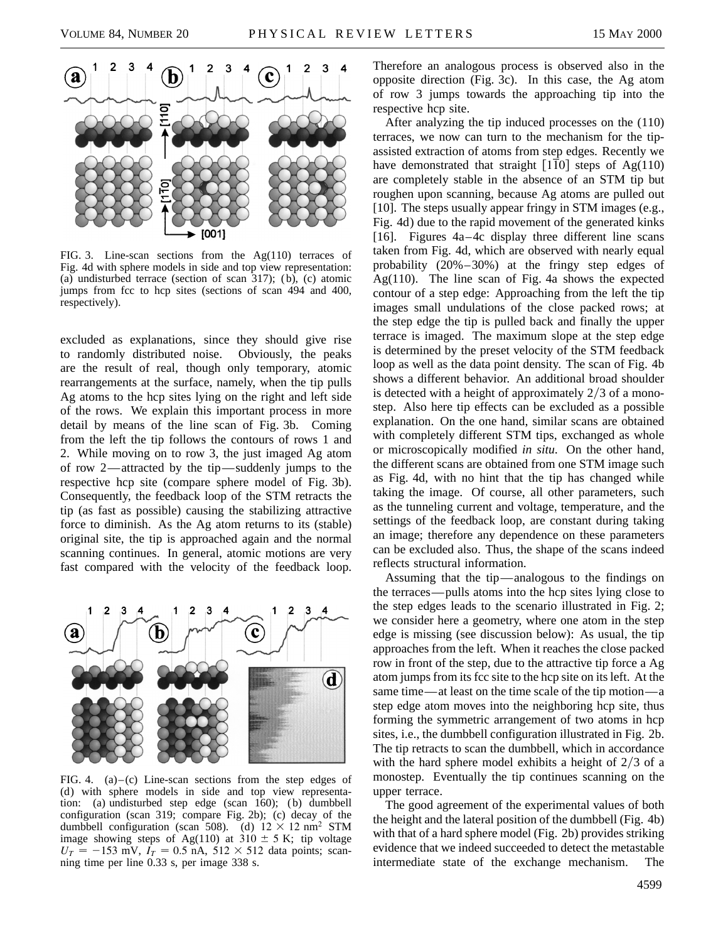

FIG. 3. Line-scan sections from the  $Ag(110)$  terraces of Fig. 4d with sphere models in side and top view representation: (a) undisturbed terrace (section of scan 317); (b), (c) atomic jumps from fcc to hcp sites (sections of scan 494 and 400, respectively).

excluded as explanations, since they should give rise to randomly distributed noise. Obviously, the peaks are the result of real, though only temporary, atomic rearrangements at the surface, namely, when the tip pulls Ag atoms to the hcp sites lying on the right and left side of the rows. We explain this important process in more detail by means of the line scan of Fig. 3b. Coming from the left the tip follows the contours of rows 1 and 2. While moving on to row 3, the just imaged Ag atom of row 2—attracted by the tip—suddenly jumps to the respective hcp site (compare sphere model of Fig. 3b). Consequently, the feedback loop of the STM retracts the tip (as fast as possible) causing the stabilizing attractive force to diminish. As the Ag atom returns to its (stable) original site, the tip is approached again and the normal scanning continues. In general, atomic motions are very fast compared with the velocity of the feedback loop.



FIG. 4. (a)–(c) Line-scan sections from the step edges of (d) with sphere models in side and top view representation: (a) undisturbed step edge (scan 160); (b) dumbbell configuration (scan 319; compare Fig. 2b); (c) decay of the dumbbell configuration (scan 508). (d)  $12 \times 12$  nm<sup>2</sup> STM image showing steps of Ag(110) at  $310 \pm 5$  K; tip voltage  $U_T = -153$  mV,  $I_T = 0.5$  nA,  $512 \times 512$  data points; scanning time per line 0.33 s, per image 338 s.

Therefore an analogous process is observed also in the opposite direction (Fig. 3c). In this case, the Ag atom of row 3 jumps towards the approaching tip into the respective hcp site.

After analyzing the tip induced processes on the (110) terraces, we now can turn to the mechanism for the tipassisted extraction of atoms from step edges. Recently we have demonstrated that straight  $[1\overline{1}0]$  steps of Ag(110) are completely stable in the absence of an STM tip but roughen upon scanning, because Ag atoms are pulled out [10]. The steps usually appear fringy in STM images (e.g., Fig. 4d) due to the rapid movement of the generated kinks [16]. Figures 4a–4c display three different line scans taken from Fig. 4d, which are observed with nearly equal probability (20%–30%) at the fringy step edges of Ag(110). The line scan of Fig. 4a shows the expected contour of a step edge: Approaching from the left the tip images small undulations of the close packed rows; at the step edge the tip is pulled back and finally the upper terrace is imaged. The maximum slope at the step edge is determined by the preset velocity of the STM feedback loop as well as the data point density. The scan of Fig. 4b shows a different behavior. An additional broad shoulder is detected with a height of approximately  $2/3$  of a monostep. Also here tip effects can be excluded as a possible explanation. On the one hand, similar scans are obtained with completely different STM tips, exchanged as whole or microscopically modified *in situ*. On the other hand, the different scans are obtained from one STM image such as Fig. 4d, with no hint that the tip has changed while taking the image. Of course, all other parameters, such as the tunneling current and voltage, temperature, and the settings of the feedback loop, are constant during taking an image; therefore any dependence on these parameters can be excluded also. Thus, the shape of the scans indeed reflects structural information.

Assuming that the tip—analogous to the findings on the terraces—pulls atoms into the hcp sites lying close to the step edges leads to the scenario illustrated in Fig. 2; we consider here a geometry, where one atom in the step edge is missing (see discussion below): As usual, the tip approaches from the left. When it reaches the close packed row in front of the step, due to the attractive tip force a Ag atom jumps from its fcc site to the hcp site on its left. At the same time—at least on the time scale of the tip motion—a step edge atom moves into the neighboring hcp site, thus forming the symmetric arrangement of two atoms in hcp sites, i.e., the dumbbell configuration illustrated in Fig. 2b. The tip retracts to scan the dumbbell, which in accordance with the hard sphere model exhibits a height of  $2/3$  of a monostep. Eventually the tip continues scanning on the upper terrace.

The good agreement of the experimental values of both the height and the lateral position of the dumbbell (Fig. 4b) with that of a hard sphere model (Fig. 2b) provides striking evidence that we indeed succeeded to detect the metastable intermediate state of the exchange mechanism. The